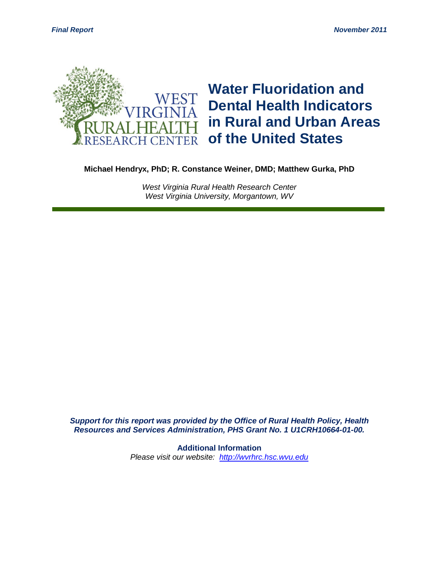

**Michael Hendryx, PhD; R. Constance Weiner, DMD; Matthew Gurka, PhD**

*West Virginia Rural Health Research Center West Virginia University, Morgantown, WV*

*Support for this report was provided by the Office of Rural Health Policy, Health Resources and Services Administration, PHS Grant No. 1 U1CRH10664-01-00.*

> **Additional Information** *Please visit our website: [http://wvrhrc.hsc.wvu.edu](http://wvrhrc.hsc.wvu.edu/)*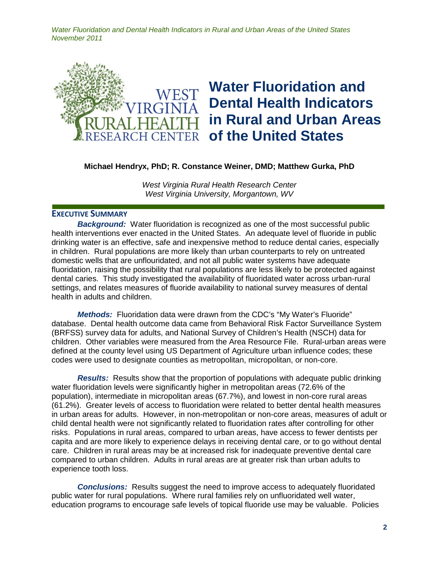

### **Michael Hendryx, PhD; R. Constance Weiner, DMD; Matthew Gurka, PhD**

*West Virginia Rural Health Research Center West Virginia University, Morgantown, WV*

#### **EXECUTIVE SUMMARY**

**Background:** Water fluoridation is recognized as one of the most successful public health interventions ever enacted in the United States. An adequate level of fluoride in public drinking water is an effective, safe and inexpensive method to reduce dental caries, especially in children. Rural populations are more likely than urban counterparts to rely on untreated domestic wells that are unflouridated, and not all public water systems have adequate fluoridation, raising the possibility that rural populations are less likely to be protected against dental caries. This study investigated the availability of fluoridated water across urban-rural settings, and relates measures of fluoride availability to national survey measures of dental health in adults and children.

*Methods:* Fluoridation data were drawn from the CDC's "My Water's Fluoride" database. Dental health outcome data came from Behavioral Risk Factor Surveillance System (BRFSS) survey data for adults, and National Survey of Children's Health (NSCH) data for children. Other variables were measured from the Area Resource File. Rural-urban areas were defined at the county level using US Department of Agriculture urban influence codes; these codes were used to designate counties as metropolitan, micropolitan, or non-core.

*Results:* Results show that the proportion of populations with adequate public drinking water fluoridation levels were significantly higher in metropolitan areas (72.6% of the population), intermediate in micropolitan areas (67.7%), and lowest in non-core rural areas (61.2%). Greater levels of access to fluoridation were related to better dental health measures in urban areas for adults. However, in non-metropolitan or non-core areas, measures of adult or child dental health were not significantly related to fluoridation rates after controlling for other risks. Populations in rural areas, compared to urban areas, have access to fewer dentists per capita and are more likely to experience delays in receiving dental care, or to go without dental care. Children in rural areas may be at increased risk for inadequate preventive dental care compared to urban children. Adults in rural areas are at greater risk than urban adults to experience tooth loss.

*Conclusions:* Results suggest the need to improve access to adequately fluoridated public water for rural populations. Where rural families rely on unfluoridated well water, education programs to encourage safe levels of topical fluoride use may be valuable. Policies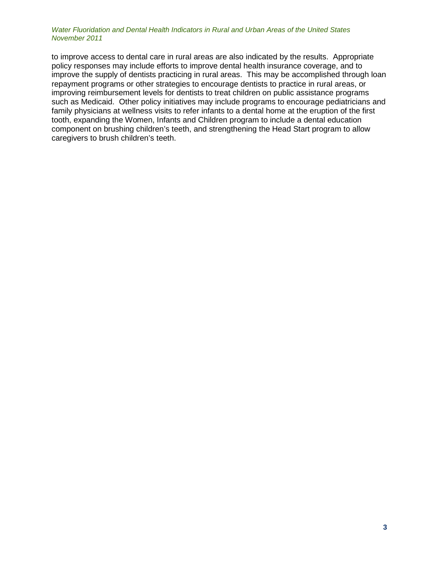to improve access to dental care in rural areas are also indicated by the results. Appropriate policy responses may include efforts to improve dental health insurance coverage, and to improve the supply of dentists practicing in rural areas. This may be accomplished through loan repayment programs or other strategies to encourage dentists to practice in rural areas, or improving reimbursement levels for dentists to treat children on public assistance programs such as Medicaid. Other policy initiatives may include programs to encourage pediatricians and family physicians at wellness visits to refer infants to a dental home at the eruption of the first tooth, expanding the Women, Infants and Children program to include a dental education component on brushing children's teeth, and strengthening the Head Start program to allow caregivers to brush children's teeth.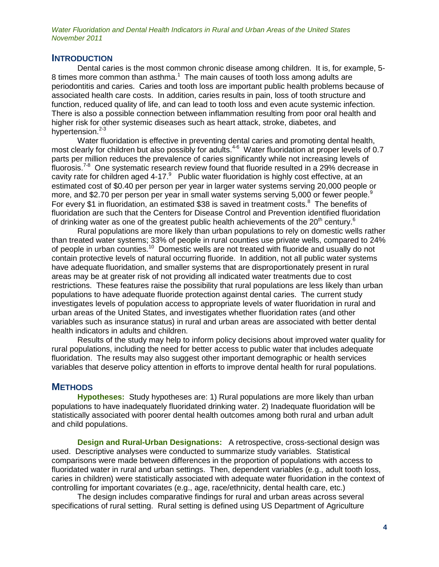### **INTRODUCTION**

Dental caries is the most common chronic disease among children. It is, for example, 5- 8 times more common than asthma.<sup>1</sup> The main causes of tooth loss among adults are periodontitis and caries. Caries and tooth loss are important public health problems because of associated health care costs. In addition, caries results in pain, loss of tooth structure and function, reduced quality of life, and can lead to tooth loss and even acute systemic infection. There is also a possible connection between inflammation resulting from poor oral health and higher risk for other systemic diseases such as heart attack, stroke, diabetes, and hypertension.<sup>2-3</sup>

Water fluoridation is effective in preventing dental caries and promoting dental health, most clearly for children but also possibly for adults.<sup>4-6</sup> Water fluoridation at proper levels of 0.7 parts per million reduces the prevalence of caries significantly while not increasing levels of fluorosis.<sup>7-8</sup> One systematic research review found that fluoride resulted in a 29% decrease in cavity rate for children aged 4-17. $^9$  Public water fluoridation is highly cost effective, at an estimated cost of \$0.40 per person per year in larger water systems serving 20,000 people or more, and \$2.70 per person per year in small water systems serving 5,000 or fewer people.<sup>9</sup> For every \$1 in fluoridation, an estimated \$38 is saved in treatment costs.<sup>8</sup> The benefits of fluoridation are such that the Centers for Disease Control and Prevention identified fluoridation of drinking water as one of the greatest public health achievements of the  $20<sup>th</sup>$  century.<sup>6</sup>

Rural populations are more likely than urban populations to rely on domestic wells rather than treated water systems; 33% of people in rural counties use private wells, compared to 24% of people in urban counties.<sup>10</sup> Domestic wells are not treated with fluoride and usually do not contain protective levels of natural occurring fluoride. In addition, not all public water systems have adequate fluoridation, and smaller systems that are disproportionately present in rural areas may be at greater risk of not providing all indicated water treatments due to cost restrictions. These features raise the possibility that rural populations are less likely than urban populations to have adequate fluoride protection against dental caries. The current study investigates levels of population access to appropriate levels of water fluoridation in rural and urban areas of the United States, and investigates whether fluoridation rates (and other variables such as insurance status) in rural and urban areas are associated with better dental health indicators in adults and children.

Results of the study may help to inform policy decisions about improved water quality for rural populations, including the need for better access to public water that includes adequate fluoridation. The results may also suggest other important demographic or health services variables that deserve policy attention in efforts to improve dental health for rural populations.

## **METHODS**

**Hypotheses:** Study hypotheses are: 1) Rural populations are more likely than urban populations to have inadequately fluoridated drinking water. 2) Inadequate fluoridation will be statistically associated with poorer dental health outcomes among both rural and urban adult and child populations.

**Design and Rural-Urban Designations:** A retrospective, cross-sectional design was used. Descriptive analyses were conducted to summarize study variables. Statistical comparisons were made between differences in the proportion of populations with access to fluoridated water in rural and urban settings. Then, dependent variables (e.g., adult tooth loss, caries in children) were statistically associated with adequate water fluoridation in the context of controlling for important covariates (e.g., age, race/ethnicity, dental health care, etc.)

The design includes comparative findings for rural and urban areas across several specifications of rural setting. Rural setting is defined using US Department of Agriculture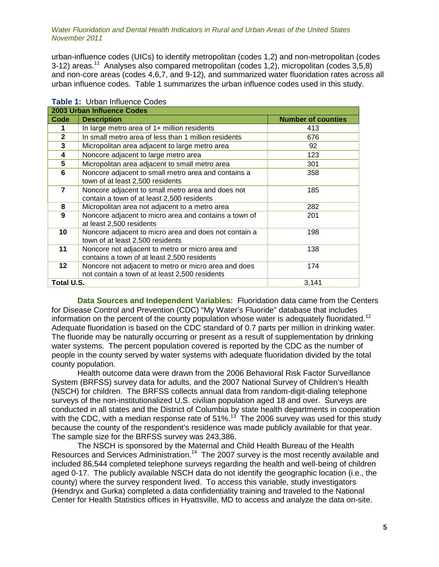urban-influence codes (UICs) to identify metropolitan (codes 1,2) and non-metropolitan (codes 3-12) areas.<sup>11</sup> Analyses also compared metropolitan (codes 1,2), micropolitan (codes 3,5,8) and non-core areas (codes 4,6,7, and 9-12), and summarized water fluoridation rates across all urban influence codes. Table 1 summarizes the urban influence codes used in this study.

| 2003 Urban Influence Codes |                                                                                                        |                           |  |  |
|----------------------------|--------------------------------------------------------------------------------------------------------|---------------------------|--|--|
| Code                       | <b>Description</b>                                                                                     | <b>Number of counties</b> |  |  |
|                            | In large metro area of 1+ million residents                                                            | 413                       |  |  |
| $\mathbf{2}$               | In small metro area of less than 1 million residents                                                   | 676                       |  |  |
| 3                          | Micropolitan area adjacent to large metro area                                                         | 92                        |  |  |
| 4                          | Noncore adjacent to large metro area                                                                   | 123                       |  |  |
| 5                          | Micropolitan area adjacent to small metro area                                                         | 301                       |  |  |
| 6                          | Noncore adjacent to small metro area and contains a<br>town of at least 2,500 residents                | 358                       |  |  |
| 7                          | Noncore adjacent to small metro area and does not<br>contain a town of at least 2,500 residents        | 185                       |  |  |
| 8                          | Micropolitan area not adjacent to a metro area                                                         | 282                       |  |  |
| 9                          | Noncore adjacent to micro area and contains a town of<br>at least 2,500 residents                      | 201                       |  |  |
| 10                         | Noncore adjacent to micro area and does not contain a<br>town of at least 2,500 residents              | 198                       |  |  |
| 11                         | Noncore not adjacent to metro or micro area and<br>contains a town of at least 2,500 residents         | 138                       |  |  |
| $12 \,$                    | Noncore not adjacent to metro or micro area and does<br>not contain a town of at least 2,500 residents | 174                       |  |  |
| Total U.S.<br>3,141        |                                                                                                        |                           |  |  |

| Table 1: Urban Influence Codes |
|--------------------------------|
|--------------------------------|

**Data Sources and Independent Variables:** Fluoridation data came from the Centers for Disease Control and Prevention (CDC) "My Water's Fluoride" database that includes information on the percent of the county population whose water is adequately fluoridated.<sup>12</sup> Adequate fluoridation is based on the CDC standard of 0.7 parts per million in drinking water. The fluoride may be naturally occurring or present as a result of supplementation by drinking water systems. The percent population covered is reported by the CDC as the number of people in the county served by water systems with adequate fluoridation divided by the total county population.

Health outcome data were drawn from the 2006 Behavioral Risk Factor Surveillance System (BRFSS) survey data for adults, and the 2007 National Survey of Children's Health (NSCH) for children. The BRFSS collects annual data from random-digit-dialing telephone surveys of the non-institutionalized U.S. civilian population aged 18 and over. Surveys are conducted in all states and the District of Columbia by state health departments in cooperation with the CDC, with a median response rate of 51%.<sup>13</sup> The 2006 survey was used for this study because the county of the respondent's residence was made publicly available for that year. The sample size for the BRFSS survey was 243,386.

The NSCH is sponsored by the Maternal and Child Health Bureau of the Health Resources and Services Administration.<sup>14</sup> The 2007 survey is the most recently available and included 86,544 completed telephone surveys regarding the health and well-being of children aged 0-17. The publicly available NSCH data do not identify the geographic location (i.e., the county) where the survey respondent lived. To access this variable, study investigators (Hendryx and Gurka) completed a data confidentiality training and traveled to the National Center for Health Statistics offices in Hyattsville, MD to access and analyze the data on-site.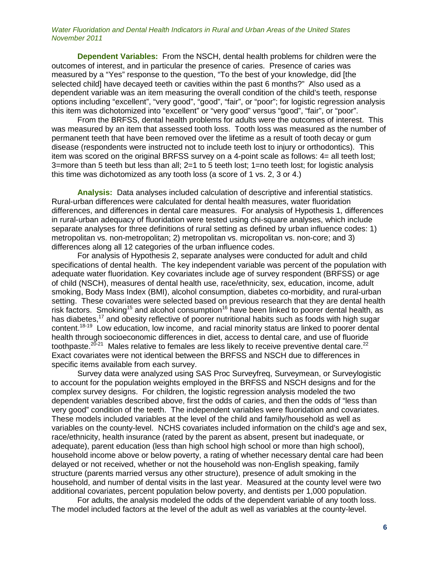**Dependent Variables:** From the NSCH, dental health problems for children were the outcomes of interest, and in particular the presence of caries. Presence of caries was measured by a "Yes" response to the question, "To the best of your knowledge, did [the selected child] have decayed teeth or cavities within the past 6 months?" Also used as a dependent variable was an item measuring the overall condition of the child's teeth, response options including "excellent", "very good", "good", "fair", or "poor"; for logistic regression analysis this item was dichotomized into "excellent" or "very good" versus "good", "fair", or "poor".

From the BRFSS, dental health problems for adults were the outcomes of interest. This was measured by an item that assessed tooth loss. Tooth loss was measured as the number of permanent teeth that have been removed over the lifetime as a result of tooth decay or gum disease (respondents were instructed not to include teeth lost to injury or orthodontics). This item was scored on the original BRFSS survey on a 4-point scale as follows: 4= all teeth lost; 3=more than 5 teeth but less than all; 2=1 to 5 teeth lost; 1=no teeth lost; for logistic analysis this time was dichotomized as any tooth loss (a score of 1 vs. 2, 3 or 4.)

**Analysis:** Data analyses included calculation of descriptive and inferential statistics. Rural-urban differences were calculated for dental health measures, water fluoridation differences, and differences in dental care measures. For analysis of Hypothesis 1, differences in rural-urban adequacy of fluoridation were tested using chi-square analyses, which include separate analyses for three definitions of rural setting as defined by urban influence codes: 1) metropolitan vs. non-metropolitan; 2) metropolitan vs. micropolitan vs. non-core; and 3) differences along all 12 categories of the urban influence codes.

For analysis of Hypothesis 2, separate analyses were conducted for adult and child specifications of dental health. The key independent variable was percent of the population with adequate water fluoridation. Key covariates include age of survey respondent (BRFSS) or age of child (NSCH), measures of dental health use, race/ethnicity, sex, education, income, adult smoking, Body Mass Index (BMI), alcohol consumption, diabetes co-morbidity, and rural-urban setting. These covariates were selected based on previous research that they are dental health risk factors. Smoking<sup>15</sup> and alcohol consumption<sup>16</sup> have been linked to poorer dental health, as has diabetes,<sup>17</sup> and obesity reflective of poorer nutritional habits such as foods with high sugar content.<sup>18-19</sup> Low education, low income, and racial minority status are linked to poorer dental health through socioeconomic differences in diet, access to dental care, and use of fluoride toothpaste.<sup>20-21</sup> Males relative to females are less likely to receive preventive dental care.<sup>22</sup> Exact covariates were not identical between the BRFSS and NSCH due to differences in specific items available from each survey.

Survey data were analyzed using SAS Proc Surveyfreq, Surveymean, or Surveylogistic to account for the population weights employed in the BRFSS and NSCH designs and for the complex survey designs. For children, the logistic regression analysis modeled the two dependent variables described above, first the odds of caries, and then the odds of "less than very good" condition of the teeth. The independent variables were fluoridation and covariates. These models included variables at the level of the child and family/household as well as variables on the county-level. NCHS covariates included information on the child's age and sex, race/ethnicity, health insurance (rated by the parent as absent, present but inadequate, or adequate), parent education (less than high school high school or more than high school), household income above or below poverty, a rating of whether necessary dental care had been delayed or not received, whether or not the household was non-English speaking, family structure (parents married versus any other structure), presence of adult smoking in the household, and number of dental visits in the last year. Measured at the county level were two additional covariates, percent population below poverty, and dentists per 1,000 population.

For adults, the analysis modeled the odds of the dependent variable of any tooth loss. The model included factors at the level of the adult as well as variables at the county-level.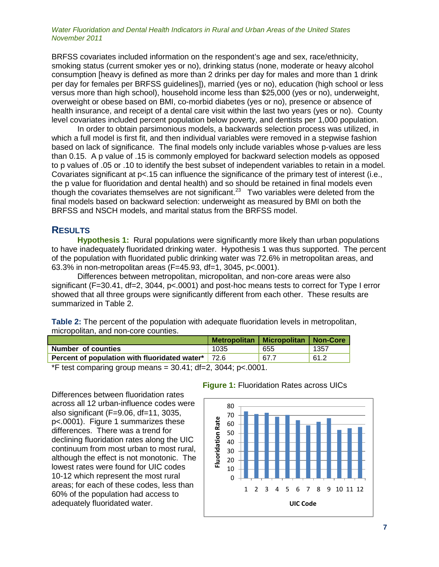BRFSS covariates included information on the respondent's age and sex, race/ethnicity, smoking status (current smoker yes or no), drinking status (none, moderate or heavy alcohol consumption [heavy is defined as more than 2 drinks per day for males and more than 1 drink per day for females per BRFSS guidelines]), married (yes or no), education (high school or less versus more than high school), household income less than \$25,000 (yes or no), underweight, overweight or obese based on BMI, co-morbid diabetes (yes or no), presence or absence of health insurance, and receipt of a dental care visit within the last two years (yes or no). County level covariates included percent population below poverty, and dentists per 1,000 population.

In order to obtain parsimonious models, a backwards selection process was utilized, in which a full model is first fit, and then individual variables were removed in a stepwise fashion based on lack of significance. The final models only include variables whose p-values are less than 0.15. A p value of .15 is commonly employed for backward selection models as opposed to p values of .05 or .10 to identify the best subset of independent variables to retain in a model. Covariates significant at p<.15 can influence the significance of the primary test of interest (i.e., the p value for fluoridation and dental health) and so should be retained in final models even though the covariates themselves are not significant.<sup>23</sup> Two variables were deleted from the final models based on backward selection: underweight as measured by BMI on both the BRFSS and NSCH models, and marital status from the BRFSS model.

# **RESULTS**

**Hypothesis 1:** Rural populations were significantly more likely than urban populations to have inadequately fluoridated drinking water. Hypothesis 1 was thus supported. The percent of the population with fluoridated public drinking water was 72.6% in metropolitan areas, and 63.3% in non-metropolitan areas (F=45.93, df=1, 3045, p<.0001).

Differences between metropolitan, micropolitan, and non-core areas were also significant (F=30.41, df=2, 3044, p<.0001) and post-hoc means tests to correct for Type I error showed that all three groups were significantly different from each other. These results are summarized in Table 2.

**Table 2:** The percent of the population with adequate fluoridation levels in metropolitan, micropolitan, and non-core counties.

|                                                           |                                    | Metropolitan   Micropolitan   Non-Core |      |
|-----------------------------------------------------------|------------------------------------|----------------------------------------|------|
| <b>Number of counties</b>                                 | 1035                               | 655                                    | 1357 |
| <b>Percent of population with fluoridated water*</b> 72.6 |                                    | 67.7                                   | 61.2 |
| $-0.1$ $-10.00011$<br>$\frac{1}{2}$                       | $\mathbf{a} \mathbf{a} \mathbf{a}$ |                                        |      |

\*F test comparing group means =  $30.41$ ; df=2,  $3044$ ;  $p < .0001$ .

Differences between fluoridation rates across all 12 urban-influence codes were also significant (F=9.06, df=11, 3035, p<.0001). Figure 1 summarizes these differences. There was a trend for declining fluoridation rates along the UIC continuum from most urban to most rural, although the effect is not monotonic. The lowest rates were found for UIC codes 10-12 which represent the most rural areas; for each of these codes, less than 60% of the population had access to adequately fluoridated water.



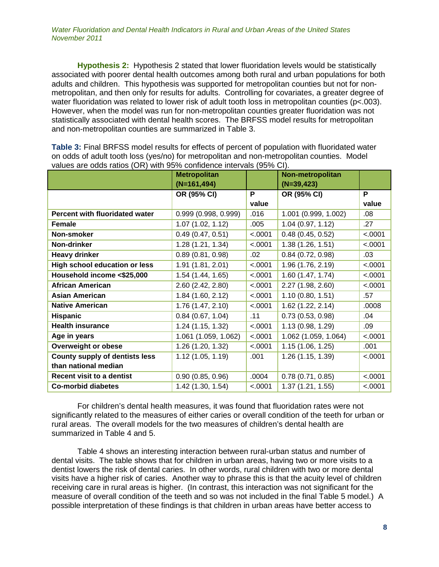**Hypothesis 2:** Hypothesis 2 stated that lower fluoridation levels would be statistically associated with poorer dental health outcomes among both rural and urban populations for both adults and children. This hypothesis was supported for metropolitan counties but not for nonmetropolitan, and then only for results for adults. Controlling for covariates, a greater degree of water fluoridation was related to lower risk of adult tooth loss in metropolitan counties (p<.003). However, when the model was run for non-metropolitan counties greater fluoridation was not statistically associated with dental health scores. The BRFSS model results for metropolitan and non-metropolitan counties are summarized in Table 3.

| Values are buds ratios (ON) with 90% confidence intervals (90% CI). |                      |         |                      |         |  |
|---------------------------------------------------------------------|----------------------|---------|----------------------|---------|--|
|                                                                     | <b>Metropolitan</b>  |         | Non-metropolitan     |         |  |
|                                                                     | $(N=161, 494)$       |         | $(N=39, 423)$        |         |  |
|                                                                     | OR (95% CI)          | P       | OR (95% CI)          | P       |  |
|                                                                     |                      | value   |                      | value   |  |
| Percent with fluoridated water                                      | 0.999(0.998, 0.999)  | .016    | 1.001 (0.999, 1.002) | .08     |  |
| <b>Female</b>                                                       | 1.07(1.02, 1.12)     | .005    | 1.04(0.97, 1.12)     | .27     |  |
| Non-smoker                                                          | 0.49(0.47, 0.51)     | < .0001 | 0.48(0.45, 0.52)     | < .0001 |  |
| Non-drinker                                                         | 1.28(1.21, 1.34)     | < .0001 | 1.38(1.26, 1.51)     | < .0001 |  |
| <b>Heavy drinker</b>                                                | 0.89(0.81, 0.98)     | .02     | $0.84$ (0.72, 0.98)  | .03     |  |
| High school education or less                                       | 1.91 (1.81, 2.01)    | < .0001 | 1.96 (1.76, 2.19)    | < .0001 |  |
| Household income <\$25,000                                          | 1.54 (1.44, 1.65)    | < .0001 | 1.60 (1.47, 1.74)    | < .0001 |  |
| <b>African American</b>                                             | 2.60 (2.42, 2.80)    | < .0001 | 2.27 (1.98, 2.60)    | < .0001 |  |
| <b>Asian American</b>                                               | 1.84 (1.60, 2.12)    | < .0001 | 1.10(0.80, 1.51)     | .57     |  |
| <b>Native American</b>                                              | 1.76 (1.47, 2.10)    | < .0001 | 1.62(1.22, 2.14)     | .0008   |  |
| <b>Hispanic</b>                                                     | 0.84(0.67, 1.04)     | .11     | 0.73(0.53, 0.98)     | .04     |  |
| <b>Health insurance</b>                                             | 1.24(1.15, 1.32)     | < .0001 | 1.13 (0.98, 1.29)    | .09     |  |
| Age in years                                                        | 1.061 (1.059, 1.062) | < .0001 | 1.062 (1.059, 1.064) | < .0001 |  |
| Overweight or obese                                                 | 1.26 (1.20, 1.32)    | < .0001 | 1.15(1.06, 1.25)     | .001    |  |
| <b>County supply of dentists less</b>                               | 1.12(1.05, 1.19)     | .001    | 1.26 (1.15, 1.39)    | < .0001 |  |
| than national median                                                |                      |         |                      |         |  |
| <b>Recent visit to a dentist</b>                                    | 0.90(0.85, 0.96)     | .0004   | 0.78(0.71, 0.85)     | < .0001 |  |
| <b>Co-morbid diabetes</b>                                           | 1.42 (1.30, 1.54)    | < .0001 | 1.37 (1.21, 1.55)    | < .0001 |  |

**Table 3:** Final BRFSS model results for effects of percent of population with fluoridated water on odds of adult tooth loss (yes/no) for metropolitan and non-metropolitan counties. Model values are odds ratios (OR) with 95% confidence intervals (95% CI).

For children's dental health measures, it was found that fluoridation rates were not significantly related to the measures of either caries or overall condition of the teeth for urban or rural areas. The overall models for the two measures of children's dental health are summarized in Table 4 and 5.

Table 4 shows an interesting interaction between rural-urban status and number of dental visits. The table shows that for children in urban areas, having two or more visits to a dentist lowers the risk of dental caries. In other words, rural children with two or more dental visits have a higher risk of caries. Another way to phrase this is that the acuity level of children receiving care in rural areas is higher. (In contrast, this interaction was not significant for the measure of overall condition of the teeth and so was not included in the final Table 5 model.) A possible interpretation of these findings is that children in urban areas have better access to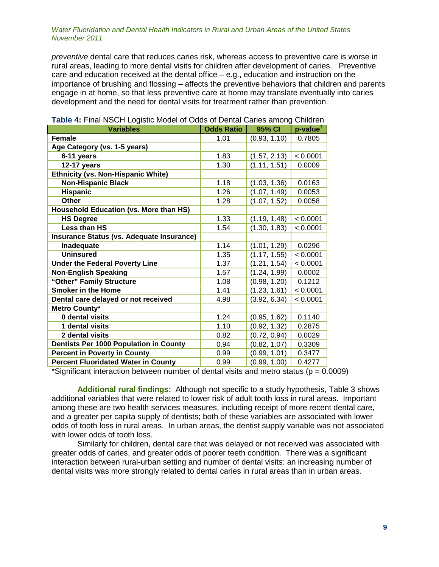*preventive* dental care that reduces caries risk, whereas access to preventive care is worse in rural areas, leading to more dental visits for children after development of caries. Preventive care and education received at the dental office – e.g., education and instruction on the importance of brushing and flossing – affects the preventive behaviors that children and parents engage in at home, so that less preventive care at home may translate eventually into caries development and the need for dental visits for treatment rather than prevention.

| <b>Variables</b>                              | <b>Odds Ratio</b> | 95% CI       | p-value <sup>1</sup> |
|-----------------------------------------------|-------------------|--------------|----------------------|
| <b>Female</b>                                 | 1.01              | (0.93, 1.10) | 0.7805               |
| Age Category (vs. 1-5 years)                  |                   |              |                      |
| 6-11 years                                    | 1.83              | (1.57, 2.13) | < 0.0001             |
| 12-17 years                                   | 1.30              | (1.11, 1.51) | 0.0009               |
| <b>Ethnicity (vs. Non-Hispanic White)</b>     |                   |              |                      |
| <b>Non-Hispanic Black</b>                     | 1.18              | (1.03, 1.36) | 0.0163               |
| <b>Hispanic</b>                               | 1.26              | (1.07, 1.49) | 0.0053               |
| <b>Other</b>                                  | 1.28              | (1.07, 1.52) | 0.0058               |
| <b>Household Education (vs. More than HS)</b> |                   |              |                      |
| <b>HS Degree</b>                              | 1.33              | (1.19, 1.48) | < 0.0001             |
| Less than HS                                  | 1.54              | (1.30, 1.83) | < 0.0001             |
| Insurance Status (vs. Adequate Insurance)     |                   |              |                      |
| Inadequate                                    | 1.14              | (1.01, 1.29) | 0.0296               |
| <b>Uninsured</b>                              | 1.35              | (1.17, 1.55) | < 0.0001             |
| <b>Under the Federal Poverty Line</b>         | 1.37              | (1.21, 1.54) | < 0.0001             |
| <b>Non-English Speaking</b>                   | 1.57              | (1.24, 1.99) | 0.0002               |
| "Other" Family Structure                      | 1.08              | (0.98, 1.20) | 0.1212               |
| <b>Smoker in the Home</b>                     | 1.41              | (1.23, 1.61) | < 0.0001             |
| Dental care delayed or not received           | 4.98              | (3.92, 6.34) | < 0.0001             |
| Metro County*                                 |                   |              |                      |
| 0 dental visits                               | 1.24              | (0.95, 1.62) | 0.1140               |
| 1 dental visits                               | 1.10              | (0.92, 1.32) | 0.2875               |
| 2 dental visits                               | 0.82              | (0.72, 0.94) | 0.0029               |
| Dentists Per 1000 Population in County        | 0.94              | (0.82, 1.07) | 0.3309               |
| <b>Percent in Poverty in County</b>           | 0.99              | (0.99, 1.01) | 0.3477               |
| <b>Percent Fluoridated Water in County</b>    | 0.99              | (0.99, 1.00) | 0.4277               |

### **Table 4:** Final NSCH Logistic Model of Odds of Dental Caries among Children

\*Significant interaction between number of dental visits and metro status ( $p = 0.0009$ )

**Additional rural findings:** Although not specific to a study hypothesis, Table 3 shows additional variables that were related to lower risk of adult tooth loss in rural areas. Important among these are two health services measures, including receipt of more recent dental care, and a greater per capita supply of dentists; both of these variables are associated with lower odds of tooth loss in rural areas. In urban areas, the dentist supply variable was not associated with lower odds of tooth loss.

Similarly for children, dental care that was delayed or not received was associated with greater odds of caries, and greater odds of poorer teeth condition. There was a significant interaction between rural-urban setting and number of dental visits: an increasing number of dental visits was more strongly related to dental caries in rural areas than in urban areas.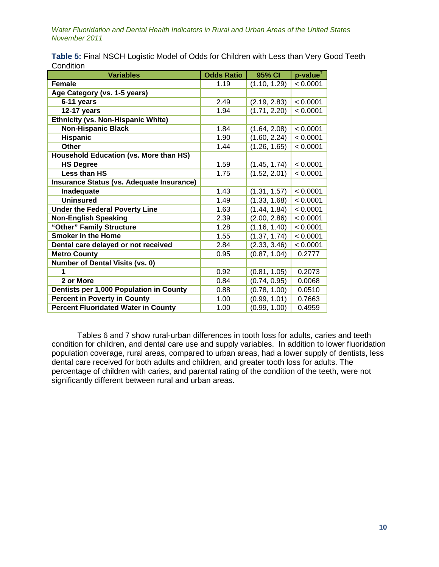| <b>Variables</b>                              | <b>Odds Ratio</b> | 95% CI       | $p$ -value <sup>†</sup> |
|-----------------------------------------------|-------------------|--------------|-------------------------|
| <b>Female</b>                                 | 1.19              | (1.10, 1.29) | < 0.0001                |
| Age Category (vs. 1-5 years)                  |                   |              |                         |
| 6-11 years                                    | 2.49              | (2.19, 2.83) | < 0.0001                |
| 12-17 years                                   | 1.94              | (1.71, 2.20) | < 0.0001                |
| <b>Ethnicity (vs. Non-Hispanic White)</b>     |                   |              |                         |
| <b>Non-Hispanic Black</b>                     | 1.84              | (1.64, 2.08) | < 0.0001                |
| <b>Hispanic</b>                               | 1.90              | (1.60, 2.24) | < 0.0001                |
| Other                                         | 1.44              | (1.26, 1.65) | < 0.0001                |
| <b>Household Education (vs. More than HS)</b> |                   |              |                         |
| <b>HS Degree</b>                              | 1.59              | (1.45, 1.74) | < 0.0001                |
| <b>Less than HS</b>                           | 1.75              | (1.52, 2.01) | < 0.0001                |
| Insurance Status (vs. Adequate Insurance)     |                   |              |                         |
| Inadequate                                    | 1.43              | (1.31, 1.57) | < 0.0001                |
| <b>Uninsured</b>                              | 1.49              | (1.33, 1.68) | < 0.0001                |
| <b>Under the Federal Poverty Line</b>         | 1.63              | (1.44, 1.84) | < 0.0001                |
| <b>Non-English Speaking</b>                   | 2.39              | (2.00, 2.86) | < 0.0001                |
| "Other" Family Structure                      | 1.28              | (1.16, 1.40) | < 0.0001                |
| <b>Smoker in the Home</b>                     | 1.55              | (1.37, 1.74) | < 0.0001                |
| Dental care delayed or not received           | 2.84              | (2.33, 3.46) | < 0.0001                |
| <b>Metro County</b>                           | 0.95              | (0.87, 1.04) | 0.2777                  |
| <b>Number of Dental Visits (vs. 0)</b>        |                   |              |                         |
| 1                                             | 0.92              | (0.81, 1.05) | 0.2073                  |
| 2 or More                                     | 0.84              | (0.74, 0.95) | 0.0068                  |
| Dentists per 1,000 Population in County       | 0.88              | (0.78, 1.00) | 0.0510                  |
| <b>Percent in Poverty in County</b>           | 1.00              | (0.99, 1.01) | 0.7663                  |
| <b>Percent Fluoridated Water in County</b>    | 1.00              | (0.99, 1.00) | 0.4959                  |

**Table 5:** Final NSCH Logistic Model of Odds for Children with Less than Very Good Teeth **Condition** 

Tables 6 and 7 show rural-urban differences in tooth loss for adults, caries and teeth condition for children, and dental care use and supply variables. In addition to lower fluoridation population coverage, rural areas, compared to urban areas, had a lower supply of dentists, less dental care received for both adults and children, and greater tooth loss for adults. The percentage of children with caries, and parental rating of the condition of the teeth, were not significantly different between rural and urban areas.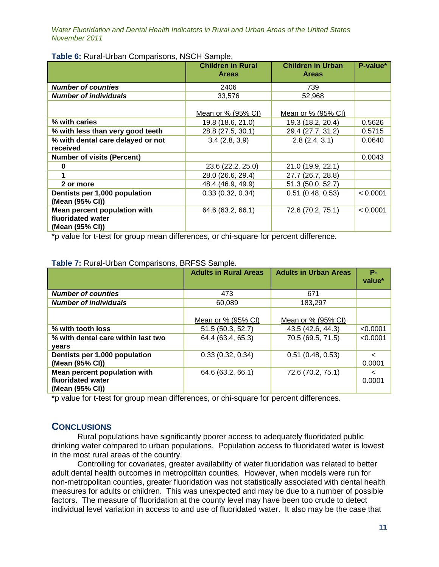|                                   | <b>Children in Rural</b><br><b>Areas</b> | <b>Children in Urban</b><br><b>Areas</b> | P-value* |
|-----------------------------------|------------------------------------------|------------------------------------------|----------|
| <b>Number of counties</b>         | 2406                                     | 739                                      |          |
| <b>Number of individuals</b>      | 33,576                                   | 52,968                                   |          |
|                                   | Mean or % (95% CI)                       | Mean or % (95% CI)                       |          |
| % with caries                     | 19.8 (18.6, 21.0)                        | 19.3 (18.2, 20.4)                        | 0.5626   |
| % with less than very good teeth  | 28.8 (27.5, 30.1)                        | 29.4 (27.7, 31.2)                        | 0.5715   |
| % with dental care delayed or not | 3.4(2.8, 3.9)                            | 2.8(2.4, 3.1)                            | 0.0640   |
| received                          |                                          |                                          |          |
| <b>Number of visits (Percent)</b> |                                          |                                          | 0.0043   |
| 0                                 | 23.6 (22.2, 25.0)                        | 21.0 (19.9, 22.1)                        |          |
|                                   | 28.0 (26.6, 29.4)                        | 27.7 (26.7, 28.8)                        |          |
| 2 or more                         | 48.4 (46.9, 49.9)                        | 51.3 (50.0, 52.7)                        |          |
| Dentists per 1,000 population     | 0.33(0.32, 0.34)                         | $0.51$ (0.48, 0.53)                      | < 0.0001 |
| (Mean (95% CI))                   |                                          |                                          |          |
| Mean percent population with      | 64.6 (63.2, 66.1)                        | 72.6 (70.2, 75.1)                        | < 0.0001 |
| fluoridated water                 |                                          |                                          |          |
| (Mean (95% CI))                   |                                          |                                          |          |

**Table 6:** Rural-Urban Comparisons, NSCH Sample.

\*p value for t-test for group mean differences, or chi-square for percent difference.

|                                    | <b>Adults in Rural Areas</b> | <b>Adults in Urban Areas</b> | Р-         |  |
|------------------------------------|------------------------------|------------------------------|------------|--|
|                                    |                              |                              | value*     |  |
|                                    |                              |                              |            |  |
| <b>Number of counties</b>          | 473                          | 671                          |            |  |
| <b>Number of individuals</b>       | 60,089                       | 183,297                      |            |  |
|                                    |                              |                              |            |  |
|                                    | Mean or % (95% CI)           | Mean or % (95% CI)           |            |  |
| % with tooth loss                  | 51.5 (50.3, 52.7)            | 43.5 (42.6, 44.3)            | < 0.0001   |  |
| % with dental care within last two | 64.4 (63.4, 65.3)            | 70.5 (69.5, 71.5)            | < 0.0001   |  |
| vears                              |                              |                              |            |  |
| Dentists per 1,000 population      | 0.33(0.32, 0.34)             | $0.51$ (0.48, 0.53)          | $\epsilon$ |  |
| (Mean (95% CI))                    |                              |                              | 0.0001     |  |
| Mean percent population with       | 64.6 (63.2, 66.1)            | 72.6 (70.2, 75.1)            | $\,<\,$    |  |
| fluoridated water                  |                              |                              | 0.0001     |  |
| (Mean (95% CI))                    |                              |                              |            |  |

**Table 7:** Rural-Urban Comparisons, BRFSS Sample.

\*p value for t-test for group mean differences, or chi-square for percent differences.

# **CONCLUSIONS**

Rural populations have significantly poorer access to adequately fluoridated public drinking water compared to urban populations. Population access to fluoridated water is lowest in the most rural areas of the country.

Controlling for covariates, greater availability of water fluoridation was related to better adult dental health outcomes in metropolitan counties. However, when models were run for non-metropolitan counties, greater fluoridation was not statistically associated with dental health measures for adults or children. This was unexpected and may be due to a number of possible factors. The measure of fluoridation at the county level may have been too crude to detect individual level variation in access to and use of fluoridated water. It also may be the case that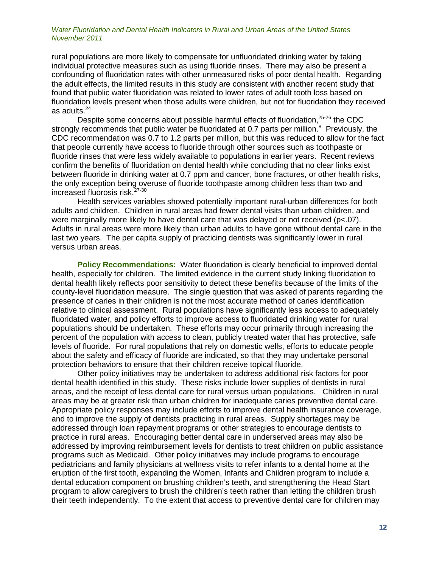rural populations are more likely to compensate for unfluoridated drinking water by taking individual protective measures such as using fluoride rinses. There may also be present a confounding of fluoridation rates with other unmeasured risks of poor dental health. Regarding the adult effects, the limited results in this study are consistent with another recent study that found that public water fluoridation was related to lower rates of adult tooth loss based on fluoridation levels present when those adults were children, but not for fluoridation they received as adults. $^{24}$ 

Despite some concerns about possible harmful effects of fluoridation,<sup>25-26</sup> the CDC strongly recommends that public water be fluoridated at 0.7 parts per million.<sup>8</sup> Previously, the CDC recommendation was 0.7 to 1.2 parts per million, but this was reduced to allow for the fact that people currently have access to fluoride through other sources such as toothpaste or fluoride rinses that were less widely available to populations in earlier years. Recent reviews confirm the benefits of fluoridation on dental health while concluding that no clear links exist between fluoride in drinking water at 0.7 ppm and cancer, bone fractures, or other health risks, the only exception being overuse of fluoride toothpaste among children less than two and increased fluorosis risk. 27-30

Health services variables showed potentially important rural-urban differences for both adults and children. Children in rural areas had fewer dental visits than urban children, and were marginally more likely to have dental care that was delayed or not received (p<.07). Adults in rural areas were more likely than urban adults to have gone without dental care in the last two years. The per capita supply of practicing dentists was significantly lower in rural versus urban areas.

**Policy Recommendations:** Water fluoridation is clearly beneficial to improved dental health, especially for children. The limited evidence in the current study linking fluoridation to dental health likely reflects poor sensitivity to detect these benefits because of the limits of the county-level fluoridation measure. The single question that was asked of parents regarding the presence of caries in their children is not the most accurate method of caries identification relative to clinical assessment. Rural populations have significantly less access to adequately fluoridated water, and policy efforts to improve access to fluoridated drinking water for rural populations should be undertaken. These efforts may occur primarily through increasing the percent of the population with access to clean, publicly treated water that has protective, safe levels of fluoride. For rural populations that rely on domestic wells, efforts to educate people about the safety and efficacy of fluoride are indicated, so that they may undertake personal protection behaviors to ensure that their children receive topical fluoride.

Other policy initiatives may be undertaken to address additional risk factors for poor dental health identified in this study. These risks include lower supplies of dentists in rural areas, and the receipt of less dental care for rural versus urban populations. Children in rural areas may be at greater risk than urban children for inadequate caries preventive dental care. Appropriate policy responses may include efforts to improve dental health insurance coverage, and to improve the supply of dentists practicing in rural areas. Supply shortages may be addressed through loan repayment programs or other strategies to encourage dentists to practice in rural areas. Encouraging better dental care in underserved areas may also be addressed by improving reimbursement levels for dentists to treat children on public assistance programs such as Medicaid. Other policy initiatives may include programs to encourage pediatricians and family physicians at wellness visits to refer infants to a dental home at the eruption of the first tooth, expanding the Women, Infants and Children program to include a dental education component on brushing children's teeth, and strengthening the Head Start program to allow caregivers to brush the children's teeth rather than letting the children brush their teeth independently. To the extent that access to preventive dental care for children may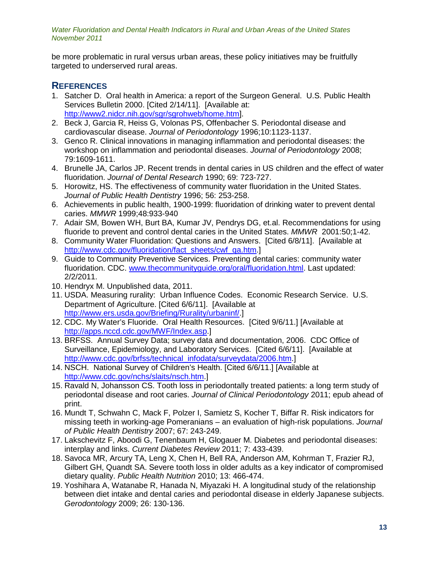be more problematic in rural versus urban areas, these policy initiatives may be fruitfully targeted to underserved rural areas.

# **REFERENCES**

- 1. Satcher D. Oral health in America: a report of the Surgeon General. U.S. Public Health Services Bulletin 2000. [Cited 2/14/11]. [Available at: [http://www2.nidcr.nih.gov/sgr/sgrohweb/home.htm\]](http://www2.nidcr.nih.gov/sgr/sgrohweb/home.htm).
- 2. Beck J, Garcia R, Heiss G, Volonas PS, Offenbacher S. Periodontal disease and cardiovascular disease. *Journal of Periodontology* 1996;10:1123-1137.
- 3. Genco R. Clinical innovations in managing inflammation and periodontal diseases: the workshop on inflammation and periodontal diseases. *Journal of Periodontology* 2008; 79:1609-1611.
- 4. Brunelle JA, Carlos JP. Recent trends in dental caries in US children and the effect of water fluoridation. *Journal of Dental Research* 1990; 69: 723-727.
- 5. Horowitz, HS. The effectiveness of community water fluoridation in the United States. *Journal of Public Health Dentistry* 1996; 56: 253-258.
- 6. Achievements in public health, 1900-1999: fluoridation of drinking water to prevent dental caries. *MMWR* 1999;48:933-940
- 7. Adair SM, Bowen WH, Burt BA, Kumar JV, Pendrys DG, et.al. Recommendations for using fluoride to prevent and control dental caries in the United States. *MMWR* 2001:50;1-42.
- 8. Community Water Fluoridation: Questions and Answers. [Cited 6/8/11]. [Available at [http://www.cdc.gov/fluoridation/fact\\_sheets/cwf\\_qa.htm.](http://www.cdc.gov/fluoridation/fact_sheets/cwf_qa.htm)]
- 9. Guide to Community Preventive Services. Preventing dental caries: community water fluoridation. CDC. [www.thecommunityguide.org/oral/fluoridation.html.](http://www.thecommunityguide.org/oral/fluoridation.html) Last updated: 2/2/2011.
- 10. Hendryx M. Unpublished data, 2011.
- 11. USDA. Measuring rurality: Urban Influence Codes. Economic Research Service. U.S. Department of Agriculture. [Cited 6/6/11]. [Available at [http://www.ers.usda.gov/Briefing/Rurality/urbaninf/.](http://www.ers.usda.gov/Briefing/Rurality/urbaninf/)]
- 12. CDC. My Water's Fluoride. Oral Health Resources. [Cited 9/6/11.] [Available at [http://apps.nccd.cdc.gov/MWF/Index.asp.](http://apps.nccd.cdc.gov/MWF/Index.asp)]
- 13. BRFSS. Annual Survey Data; survey data and documentation, 2006. CDC Office of Surveillance, Epidemiology, and Laboratory Services. [Cited 6/6/11]. [Available at [http://www.cdc.gov/brfss/technical\\_infodata/surveydata/2006.htm.](http://www.cdc.gov/brfss/technical_infodata/surveydata/2006.htm)]
- 14. NSCH. National Survey of Children's Health. [Cited 6/6/11.] [Available at [http://www.cdc.gov/nchs/slaits/nsch.htm.](http://www.cdc.gov/nchs/slaits/nsch.htm)]
- 15. Ravald N, Johansson CS. Tooth loss in periodontally treated patients: a long term study of periodontal disease and root caries. *Journal of Clinical Periodontology* 2011; epub ahead of print.
- 16. Mundt T, Schwahn C, Mack F, Polzer I, Samietz S, Kocher T, Biffar R. Risk indicators for missing teeth in working-age Pomeranians – an evaluation of high-risk populations. *Journal of Public Health Dentistry* 2007; 67: 243-249.
- 17. Lakschevitz F, Aboodi G, Tenenbaum H, Glogauer M. Diabetes and periodontal diseases: interplay and links. *Current Diabetes Review* 2011; 7: 433-439.
- 18. Savoca MR, Arcury TA, Leng X, Chen H, Bell RA, Anderson AM, Kohrman T, Frazier RJ, Gilbert GH, Quandt SA. Severe tooth loss in older adults as a key indicator of compromised dietary quality. *Public Health Nutrition* 2010; 13: 466-474.
- 19. Yoshihara A, Watanabe R, Hanada N, Miyazaki H. A longitudinal study of the relationship between diet intake and dental caries and periodontal disease in elderly Japanese subjects. *Gerodontology* 2009; 26: 130-136.